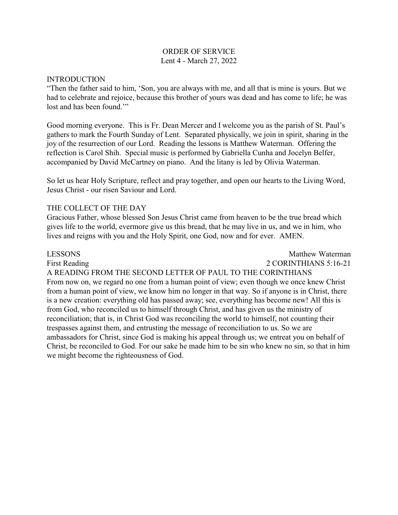## ORDER OF SERVICE Lent 4 - March 27, 2022

#### INTRODUCTION

"Then the father said to him, 'Son, you are always with me, and all that is mine is yours. But we had to celebrate and rejoice, because this brother of yours was dead and has come to life; he was lost and has been found."

Good morning everyone. This is Fr. Dean Mercer and I welcome you as the parish of St. Paul's gathers to mark the Fourth Sunday of Lent. Separated physically, we join in spirit, sharing in the joy of the resurrection of our Lord. Reading the lessons is Matthew Waterman. Offering the reflection is Carol Shih. Special music is performed by Gabriella Cunha and Jocelyn Belfer, accompanied by David McCartney on piano. And the litany is led by Olivia Waterman.

So let us hear Holy Scripture, reflect and pray together, and open our hearts to the Living Word, Jesus Christ - our risen Saviour and Lord.

#### THE COLLECT OF THE DAY

Gracious Father, whose blessed Son Jesus Christ came from heaven to be the true bread which gives life to the world, evermore give us this bread, that he may live in us, and we in him, who lives and reigns with you and the Holy Spirit, one God, now and for ever. AMEN.

#### LESSONS Matthew Waterman Matthew Waterman

First Reading 2 CORINTHIANS 5:16-21 A READING FROM THE SECOND LETTER OF PAUL TO THE CORINTHIANS From now on, we regard no one from a human point of view; even though we once knew Christ from a human point of view, we know him no longer in that way. So if anyone is in Christ, there is a new creation: everything old has passed away; see, everything has become new! All this is from God, who reconciled us to himself through Christ, and has given us the ministry of reconciliation; that is, in Christ God was reconciling the world to himself, not counting their trespasses against them, and entrusting the message of reconciliation to us. So we are ambassadors for Christ, since God is making his appeal through us; we entreat you on behalf of Christ, be reconciled to God. For our sake he made him to be sin who knew no sin, so that in him we might become the righteousness of God.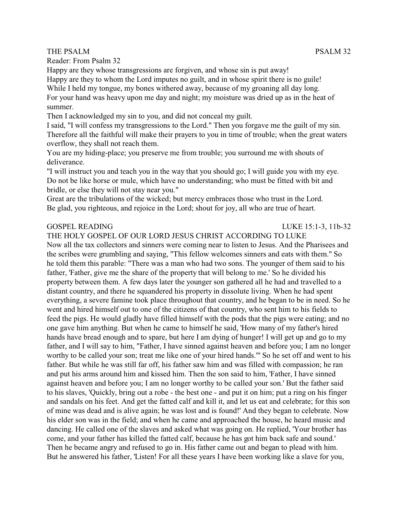## THE PSALM 32

Reader: From Psalm 32

Happy are they whose transgressions are forgiven, and whose sin is put away! Happy are they to whom the Lord imputes no guilt, and in whose spirit there is no guile!

While I held my tongue, my bones withered away, because of my groaning all day long. For your hand was heavy upon me day and night; my moisture was dried up as in the heat of summer.

Then I acknowledged my sin to you, and did not conceal my guilt.

I said, "I will confess my transgressions to the Lord." Then you forgave me the guilt of my sin. Therefore all the faithful will make their prayers to you in time of trouble; when the great waters overflow, they shall not reach them.

You are my hiding-place; you preserve me from trouble; you surround me with shouts of deliverance.

"I will instruct you and teach you in the way that you should go; I will guide you with my eye. Do not be like horse or mule, which have no understanding; who must be fitted with bit and bridle, or else they will not stay near you."

Great are the tribulations of the wicked; but mercy embraces those who trust in the Lord. Be glad, you righteous, and rejoice in the Lord; shout for joy, all who are true of heart.

#### GOSPEL READING LUKE 15:1-3, 11b-32

THE HOLY GOSPEL OF OUR LORD JESUS CHRIST ACCORDING TO LUKE

Now all the tax collectors and sinners were coming near to listen to Jesus. And the Pharisees and the scribes were grumbling and saying, "This fellow welcomes sinners and eats with them." So he told them this parable: "There was a man who had two sons. The younger of them said to his father, 'Father, give me the share of the property that will belong to me.' So he divided his property between them. A few days later the younger son gathered all he had and travelled to a distant country, and there he squandered his property in dissolute living. When he had spent everything, a severe famine took place throughout that country, and he began to be in need. So he went and hired himself out to one of the citizens of that country, who sent him to his fields to feed the pigs. He would gladly have filled himself with the pods that the pigs were eating; and no one gave him anything. But when he came to himself he said, 'How many of my father's hired hands have bread enough and to spare, but here I am dying of hunger! I will get up and go to my father, and I will say to him, "Father, I have sinned against heaven and before you; I am no longer worthy to be called your son; treat me like one of your hired hands."' So he set off and went to his father. But while he was still far off, his father saw him and was filled with compassion; he ran and put his arms around him and kissed him. Then the son said to him, 'Father, I have sinned against heaven and before you; I am no longer worthy to be called your son.' But the father said to his slaves, 'Quickly, bring out a robe - the best one - and put it on him; put a ring on his finger and sandals on his feet. And get the fatted calf and kill it, and let us eat and celebrate; for this son of mine was dead and is alive again; he was lost and is found!' And they began to celebrate. Now his elder son was in the field; and when he came and approached the house, he heard music and dancing. He called one of the slaves and asked what was going on. He replied, 'Your brother has come, and your father has killed the fatted calf, because he has got him back safe and sound.' Then he became angry and refused to go in. His father came out and began to plead with him. But he answered his father, 'Listen! For all these years I have been working like a slave for you,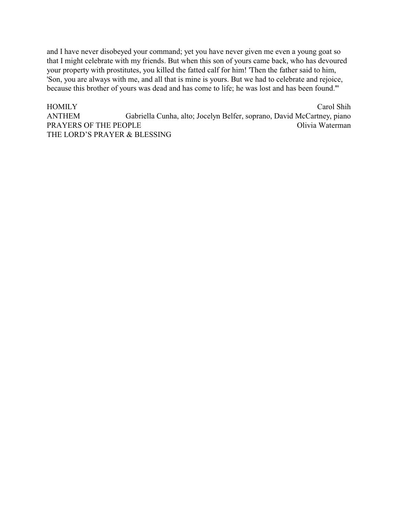and I have never disobeyed your command; yet you have never given me even a young goat so that I might celebrate with my friends. But when this son of yours came back, who has devoured your property with prostitutes, you killed the fatted calf for him! 'Then the father said to him, 'Son, you are always with me, and all that is mine is yours. But we had to celebrate and rejoice, because this brother of yours was dead and has come to life; he was lost and has been found.'"

HOMILY Carol Shih ANTHEM Gabriella Cunha, alto; Jocelyn Belfer, soprano, David McCartney, piano PRAYERS OF THE PEOPLE THE LORD'S PRAYER & BLESSING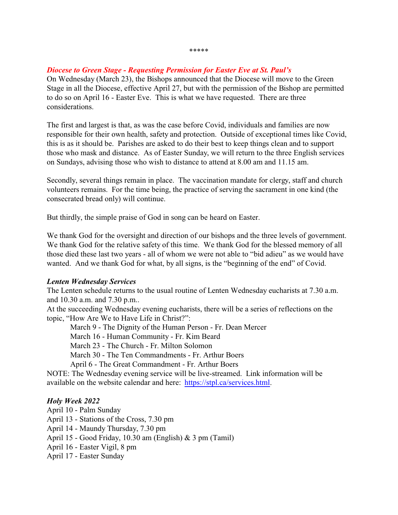\*\*\*\*\*

## *Diocese to Green Stage - Requesting Permission for Easter Eve at St. Paul's*

On Wednesday (March 23), the Bishops announced that the Diocese will move to the Green Stage in all the Diocese, effective April 27, but with the permission of the Bishop are permitted to do so on April 16 - Easter Eve. This is what we have requested. There are three considerations.

The first and largest is that, as was the case before Covid, individuals and families are now responsible for their own health, safety and protection. Outside of exceptional times like Covid, this is as it should be. Parishes are asked to do their best to keep things clean and to support those who mask and distance. As of Easter Sunday, we will return to the three English services on Sundays, advising those who wish to distance to attend at 8.00 am and 11.15 am.

Secondly, several things remain in place. The vaccination mandate for clergy, staff and church volunteers remains. For the time being, the practice of serving the sacrament in one kind (the consecrated bread only) will continue.

But thirdly, the simple praise of God in song can be heard on Easter.

We thank God for the oversight and direction of our bishops and the three levels of government. We thank God for the relative safety of this time. We thank God for the blessed memory of all those died these last two years - all of whom we were not able to "bid adieu" as we would have wanted. And we thank God for what, by all signs, is the "beginning of the end" of Covid.

## *Lenten Wednesday Services*

The Lenten schedule returns to the usual routine of Lenten Wednesday eucharists at 7.30 a.m. and 10.30 a.m. and 7.30 p.m..

At the succeeding Wednesday evening eucharists, there will be a series of reflections on the topic, "How Are We to Have Life in Christ?":

March 9 - The Dignity of the Human Person - Fr. Dean Mercer March 16 - Human Community - Fr. Kim Beard

March 23 - The Church - Fr. Milton Solomon

March 30 - The Ten Commandments - Fr. Arthur Boers

April 6 - The Great Commandment - Fr. Arthur Boers

NOTE: The Wednesday evening service will be live-streamed. Link information will be available on the website calendar and here: https://stpl.ca/services.html.

## *Holy Week 2022*

April 10 - Palm Sunday April 13 - Stations of the Cross, 7.30 pm April 14 - Maundy Thursday, 7.30 pm April 15 - Good Friday, 10.30 am (English) & 3 pm (Tamil) April 16 - Easter Vigil, 8 pm April 17 - Easter Sunday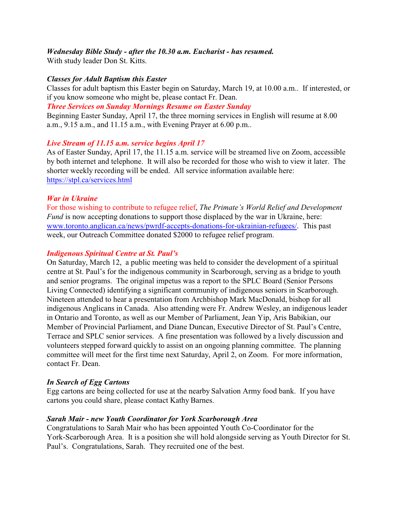# *Wednesday Bible Study - after the 10.30 a.m. Eucharist - has resumed.*

With study leader Don St. Kitts.

## *Classes for Adult Baptism this Easter*

Classes for adult baptism this Easter begin on Saturday, March 19, at 10.00 a.m.. If interested, or if you know someone who might be, please contact Fr. Dean.

## *Three Services on Sunday Mornings Resume on Easter Sunday*

Beginning Easter Sunday, April 17, the three morning services in English will resume at 8.00 a.m., 9.15 a.m., and 11.15 a.m., with Evening Prayer at 6.00 p.m..

# *Live Stream of 11.15 a.m. service begins April 17*

As of Easter Sunday, April 17, the 11.15 a.m. service will be streamed live on Zoom, accessible by both internet and telephone. It will also be recorded for those who wish to view it later. The shorter weekly recording will be ended. All service information available here: https://stpl.ca/services.html

# *War in Ukraine*

For those wishing to contribute to refugee relief, *The Primate's World Relief and Development Fund* is now accepting donations to support those displaced by the war in Ukraine, here: www.toronto.anglican.ca/news/pwrdf-accepts-donations-for-ukrainian-refugees/. This past week, our Outreach Committee donated \$2000 to refugee relief program.

# *Indigenous Spiritual Centre at St. Paul's*

On Saturday, March 12, a public meeting was held to consider the development of a spiritual centre at St. Paul's for the indigenous community in Scarborough, serving as a bridge to youth and senior programs. The original impetus was a report to the SPLC Board (Senior Persons Living Connected) identifying a significant community of indigenous seniors in Scarborough. Nineteen attended to hear a presentation from Archbishop Mark MacDonald, bishop for all indigenous Anglicans in Canada. Also attending were Fr. Andrew Wesley, an indigenous leader in Ontario and Toronto, as well as our Member of Parliament, Jean Yip, Aris Babikian, our Member of Provincial Parliament, and Diane Duncan, Executive Director of St. Paul's Centre, Terrace and SPLC senior services. A fine presentation was followed by a lively discussion and volunteers stepped forward quickly to assist on an ongoing planning committee. The planning committee will meet for the first time next Saturday, April 2, on Zoom. For more information, contact Fr. Dean.

# *In Search of Egg Cartons*

Egg cartons are being collected for use at the nearby Salvation Army food bank. If you have cartons you could share, please contact Kathy Barnes.

## *Sarah Mair - new Youth Coordinator for York Scarborough Area*

Congratulations to Sarah Mair who has been appointed Youth Co-Coordinator for the York-Scarborough Area. It is a position she will hold alongside serving as Youth Director for St. Paul's. Congratulations, Sarah. They recruited one of the best.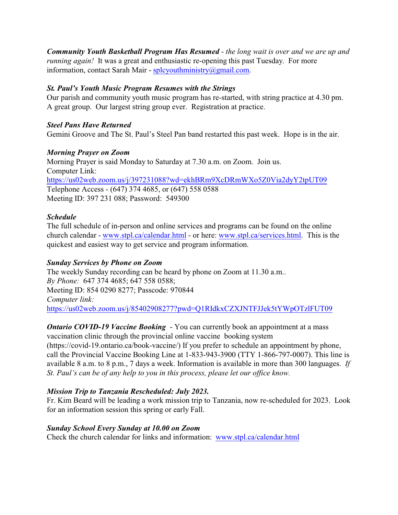*Community Youth Basketball Program Has Resumed* - *the long wait is over and we are up and running again!* It was a great and enthusiastic re-opening this past Tuesday. For more information, contact Sarah Mair - splcyouthministry@gmail.com.

# *St. Paul's Youth Music Program Resumes with the Strings*

Our parish and community youth music program has re-started, with string practice at 4.30 pm. A great group. Our largest string group ever. Registration at practice.

## *Steel Pans Have Returned*

Gemini Groove and The St. Paul's Steel Pan band restarted this past week. Hope is in the air.

## *Morning Prayer on Zoom*

Morning Prayer is said Monday to Saturday at 7.30 a.m. on Zoom. Join us. Computer Link: https://us02web.zoom.us/j/397231088?wd=ekhBRm9XcDRmWXo5Z0Via2dyY2tpUT09 Telephone Access - (647) 374 4685, or (647) 558 0588 Meeting ID: 397 231 088; Password: 549300

# *Schedule*

The full schedule of in-person and online services and programs can be found on the online church calendar - www.stpl.ca/calendar.html - or here: www.stpl.ca/services.html. This is the quickest and easiest way to get service and program information.

## *Sunday Services by Phone on Zoom*

The weekly Sunday recording can be heard by phone on Zoom at 11.30 a.m.. *By Phone:* 647 374 4685; 647 558 0588; Meeting ID: 854 0290 8277; Passcode: 970844 *Computer link:* https://us02web.zoom.us/j/85402908277?pwd=Q1RIdkxCZXJNTFJJek5tYWpOTzlFUT09

#### *Ontario COVID-19 Vaccine Booking* - You can currently book an appointment at a mass vaccination clinic through the provincial online vaccine booking system

(https://covid-19.ontario.ca/book-vaccine/) If you prefer to schedule an appointment by phone, call the Provincial Vaccine Booking Line at 1-833-943-3900 (TTY 1-866-797-0007). This line is available 8 a.m. to 8 p.m., 7 days a week. Information is available in more than 300 languages. *If St. Paul's can be of any help to you in this process, please let our office know.*

# *Mission Trip to Tanzania Rescheduled: July 2023.*

Fr. Kim Beard will be leading a work mission trip to Tanzania, now re-scheduled for 2023. Look for an information session this spring or early Fall.

## *Sunday School Every Sunday at 10.00 on Zoom*

Check the church calendar for links and information: www.stpl.ca/calendar.html